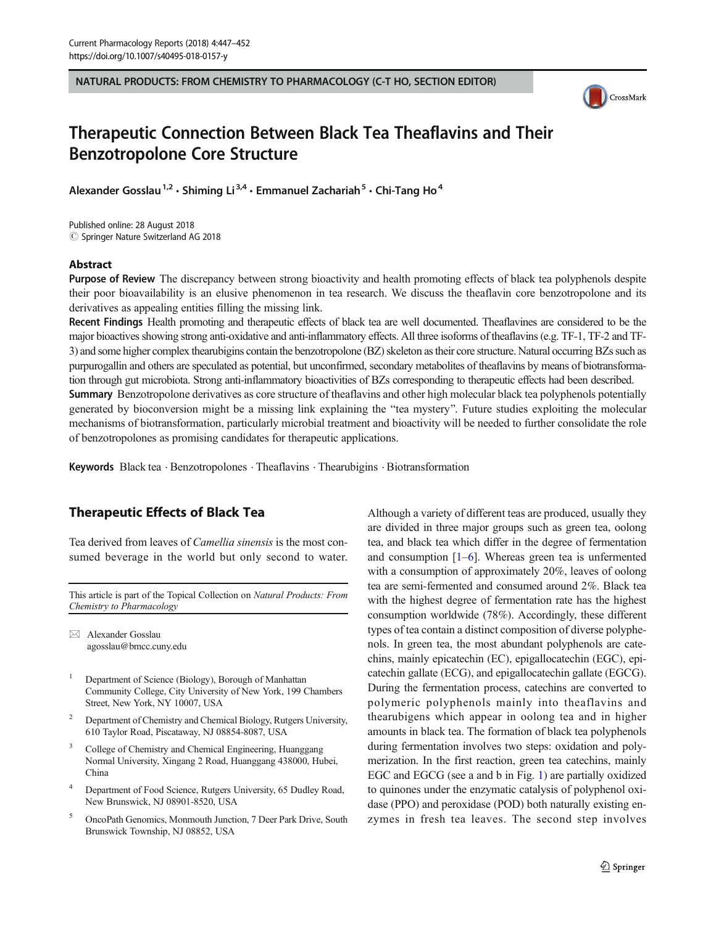NATURAL PRODUCTS: FROM CHEMISTRY TO PHARMACOLOGY (C-T HO, SECTION EDITOR)



# Therapeutic Connection Between Black Tea Theaflavins and Their Benzotropolone Core Structure

Alexander Gosslau<sup>1,2</sup> · Shiming Li<sup>3,4</sup> · Emmanuel Zachariah<sup>5</sup> · Chi-Tang Ho<sup>4</sup>

Published online: 28 August 2018  $\oslash$  Springer Nature Switzerland AG 2018

#### Abstract

**Purpose of Review** The discrepancy between strong bioactivity and health promoting effects of black tea polyphenols despite their poor bioavailability is an elusive phenomenon in tea research. We discuss the theaflavin core benzotropolone and its derivatives as appealing entities filling the missing link.

Recent Findings Health promoting and therapeutic effects of black tea are well documented. Theaflavines are considered to be the major bioactives showing strong anti-oxidative and anti-inflammatory effects. All three isoforms of theaflavins (e.g. TF-1, TF-2 and TF-3) and some higher complex thearubigins contain the benzotropolone (BZ) skeleton as their core structure. Natural occurring BZs such as purpurogallin and others are speculated as potential, but unconfirmed, secondary metabolites of theaflavins by means of biotransformation through gut microbiota. Strong anti-inflammatory bioactivities of BZs corresponding to therapeutic effects had been described. Summary Benzotropolone derivatives as core structure of theaflavins and other high molecular black tea polyphenols potentially generated by bioconversion might be a missing link explaining the "tea mystery". Future studies exploiting the molecular mechanisms of biotransformation, particularly microbial treatment and bioactivity will be needed to further consolidate the role of benzotropolones as promising candidates for therapeutic applications.

Keywords Black tea · Benzotropolones · Theaflavins · Thearubigins · Biotransformation

## Therapeutic Effects of Black Tea

Tea derived from leaves of Camellia sinensis is the most consumed beverage in the world but only second to water.

This article is part of the Topical Collection on Natural Products: From Chemistry to Pharmacology

 $\boxtimes$  Alexander Gosslau agosslau@bmcc.cuny.edu

- <sup>1</sup> Department of Science (Biology), Borough of Manhattan Community College, City University of New York, 199 Chambers Street, New York, NY 10007, USA
- <sup>2</sup> Department of Chemistry and Chemical Biology, Rutgers University, 610 Taylor Road, Piscataway, NJ 08854-8087, USA
- <sup>3</sup> College of Chemistry and Chemical Engineering, Huanggang Normal University, Xingang 2 Road, Huanggang 438000, Hubei, China
- <sup>4</sup> Department of Food Science, Rutgers University, 65 Dudley Road, New Brunswick, NJ 08901-8520, USA
- <sup>5</sup> OncoPath Genomics, Monmouth Junction, 7 Deer Park Drive, South Brunswick Township, NJ 08852, USA

Although a variety of different teas are produced, usually they are divided in three major groups such as green tea, oolong tea, and black tea which differ in the degree of fermentation and consumption [1–6]. Whereas green tea is unfermented with a consumption of approximately 20%, leaves of oolong tea are semi-fermented and consumed around 2%. Black tea with the highest degree of fermentation rate has the highest consumption worldwide (78%). Accordingly, these different types of tea contain a distinct composition of diverse polyphenols. In green tea, the most abundant polyphenols are catechins, mainly epicatechin (EC), epigallocatechin (EGC), epicatechin gallate (ECG), and epigallocatechin gallate (EGCG). During the fermentation process, catechins are converted to polymeric polyphenols mainly into theaflavins and thearubigens which appear in oolong tea and in higher amounts in black tea. The formation of black tea polyphenols during fermentation involves two steps: oxidation and polymerization. In the first reaction, green tea catechins, mainly EGC and EGCG (see a and b in Fig. 1) are partially oxidized to quinones under the enzymatic catalysis of polyphenol oxidase (PPO) and peroxidase (POD) both naturally existing enzymes in fresh tea leaves. The second step involves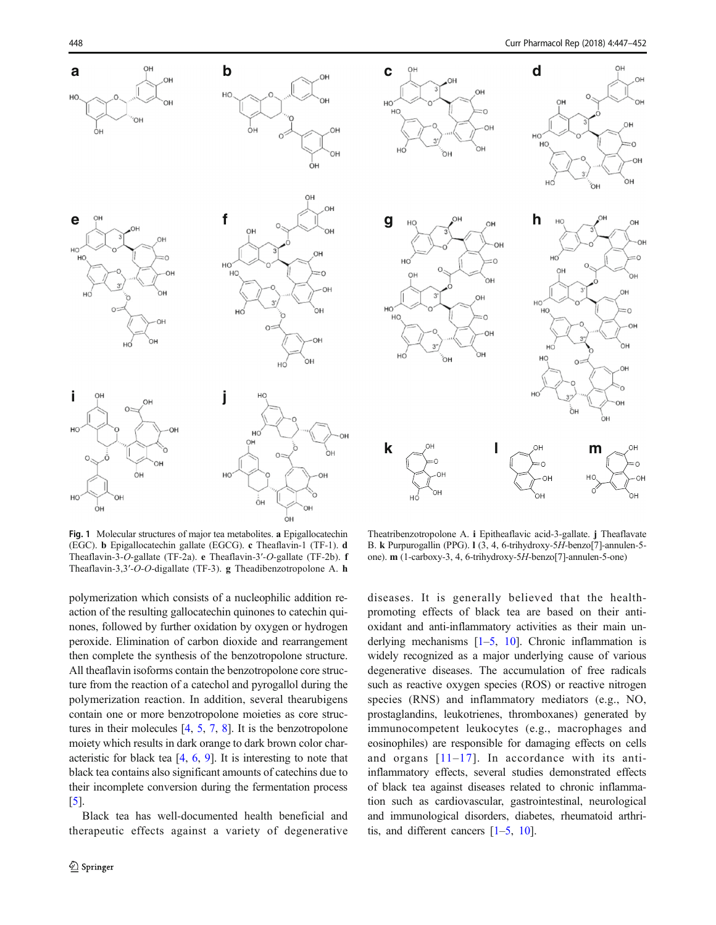

Fig. 1 Molecular structures of major tea metabolites. a Epigallocatechin (EGC). b Epigallocatechin gallate (EGCG). c Theaflavin-1 (TF-1). d Theaflavin-3-O-gallate (TF-2a). e Theaflavin-3′-O-gallate (TF-2b). f Theaflavin-3,3′-O-O-digallate (TF-3). g Theadibenzotropolone A. h

polymerization which consists of a nucleophilic addition reaction of the resulting gallocatechin quinones to catechin quinones, followed by further oxidation by oxygen or hydrogen peroxide. Elimination of carbon dioxide and rearrangement then complete the synthesis of the benzotropolone structure. All theaflavin isoforms contain the benzotropolone core structure from the reaction of a catechol and pyrogallol during the polymerization reaction. In addition, several thearubigens contain one or more benzotropolone moieties as core structures in their molecules  $[4, 5, 7, 8]$ . It is the benzotropolone moiety which results in dark orange to dark brown color characteristic for black tea [4, 6, 9]. It is interesting to note that black tea contains also significant amounts of catechins due to their incomplete conversion during the fermentation process [5].

Black tea has well-documented health beneficial and therapeutic effects against a variety of degenerative



Theatribenzotropolone A. i Epitheaflavic acid-3-gallate. j Theaflavate B. k Purpurogallin (PPG). l (3, 4, 6-trihydroxy-5H-benzo[7]-annulen-5 one). m (1-carboxy-3, 4, 6-trihydroxy-5H-benzo[7]-annulen-5-one)

diseases. It is generally believed that the healthpromoting effects of black tea are based on their antioxidant and anti-inflammatory activities as their main underlying mechanisms  $[1-5, 10]$ . Chronic inflammation is widely recognized as a major underlying cause of various degenerative diseases. The accumulation of free radicals such as reactive oxygen species (ROS) or reactive nitrogen species (RNS) and inflammatory mediators (e.g., NO, prostaglandins, leukotrienes, thromboxanes) generated by immunocompetent leukocytes (e.g., macrophages and eosinophiles) are responsible for damaging effects on cells and organs  $[11-17]$ . In accordance with its antiinflammatory effects, several studies demonstrated effects of black tea against diseases related to chronic inflammation such as cardiovascular, gastrointestinal, neurological and immunological disorders, diabetes, rheumatoid arthritis, and different cancers  $[1-5, 10]$ .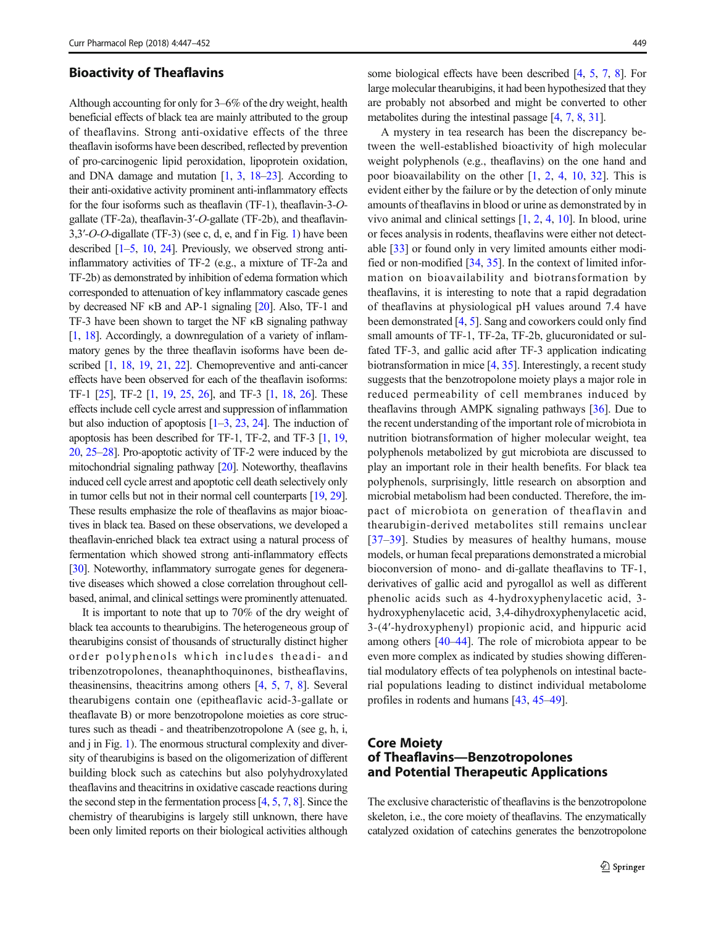### Bioactivity of Theaflavins

Although accounting for only for 3–6% of the dry weight, health beneficial effects of black tea are mainly attributed to the group of theaflavins. Strong anti-oxidative effects of the three theaflavin isoforms have been described, reflected by prevention of pro-carcinogenic lipid peroxidation, lipoprotein oxidation, and DNA damage and mutation  $[1, 3, 18-23]$ . According to their anti-oxidative activity prominent anti-inflammatory effects for the four isoforms such as theaflavin (TF-1), theaflavin-3-Ogallate (TF-2a), theaflavin-3′-O-gallate (TF-2b), and theaflavin-3,3′-O-O-digallate (TF-3) (see c, d, e, and f in Fig. 1) have been described  $[1–5, 10, 24]$ . Previously, we observed strong antiinflammatory activities of TF-2 (e.g., a mixture of TF-2a and TF-2b) as demonstrated by inhibition of edema formation which corresponded to attenuation of key inflammatory cascade genes by decreased NF  $\kappa$ B and AP-1 signaling [20]. Also, TF-1 and TF-3 have been shown to target the NF κB signaling pathway [1, 18]. Accordingly, a downregulation of a variety of inflammatory genes by the three theaflavin isoforms have been described [1, 18, 19, 21, 22]. Chemopreventive and anti-cancer effects have been observed for each of the theaflavin isoforms: TF-1 [25], TF-2 [1, 19, 25, 26], and TF-3 [1, 18, 26]. These effects include cell cycle arrest and suppression of inflammation but also induction of apoptosis  $[1-3, 23, 24]$ . The induction of apoptosis has been described for TF-1, TF-2, and TF-3 [1, 19, 20, 25–28]. Pro-apoptotic activity of TF-2 were induced by the mitochondrial signaling pathway [20]. Noteworthy, theaflavins induced cell cycle arrest and apoptotic cell death selectively only in tumor cells but not in their normal cell counterparts [19, 29]. These results emphasize the role of theaflavins as major bioactives in black tea. Based on these observations, we developed a theaflavin-enriched black tea extract using a natural process of fermentation which showed strong anti-inflammatory effects [30]. Noteworthy, inflammatory surrogate genes for degenerative diseases which showed a close correlation throughout cellbased, animal, and clinical settings were prominently attenuated.

It is important to note that up to 70% of the dry weight of black tea accounts to thearubigins. The heterogeneous group of thearubigins consist of thousands of structurally distinct higher order polyphenols which includes theadi- and tribenzotropolones, theanaphthoquinones, bistheaflavins, theasinensins, theacitrins among others [4, 5, 7, 8]. Several thearubigens contain one (epitheaflavic acid-3-gallate or theaflavate B) or more benzotropolone moieties as core structures such as theadi - and theatribenzotropolone A (see g, h, i, and j in Fig. 1). The enormous structural complexity and diversity of thearubigins is based on the oligomerization of different building block such as catechins but also polyhydroxylated theaflavins and theacitrins in oxidative cascade reactions during the second step in the fermentation process [4, 5, 7, 8]. Since the chemistry of thearubigins is largely still unknown, there have been only limited reports on their biological activities although

some biological effects have been described [4, 5, 7, 8]. For large molecular thearubigins, it had been hypothesized that they are probably not absorbed and might be converted to other metabolites during the intestinal passage [4, 7, 8, 31].

A mystery in tea research has been the discrepancy between the well-established bioactivity of high molecular weight polyphenols (e.g., theaflavins) on the one hand and poor bioavailability on the other  $[1, 2, 4, 10, 32]$ . This is evident either by the failure or by the detection of only minute amounts of theaflavins in blood or urine as demonstrated by in vivo animal and clinical settings [1, 2, 4, 10]. In blood, urine or feces analysis in rodents, theaflavins were either not detectable [33] or found only in very limited amounts either modified or non-modified [34, 35]. In the context of limited information on bioavailability and biotransformation by theaflavins, it is interesting to note that a rapid degradation of theaflavins at physiological pH values around 7.4 have been demonstrated [4, 5]. Sang and coworkers could only find small amounts of TF-1, TF-2a, TF-2b, glucuronidated or sulfated TF-3, and gallic acid after TF-3 application indicating biotransformation in mice [4, 35]. Interestingly, a recent study suggests that the benzotropolone moiety plays a major role in reduced permeability of cell membranes induced by theaflavins through AMPK signaling pathways [36]. Due to the recent understanding of the important role of microbiota in nutrition biotransformation of higher molecular weight, tea polyphenols metabolized by gut microbiota are discussed to play an important role in their health benefits. For black tea polyphenols, surprisingly, little research on absorption and microbial metabolism had been conducted. Therefore, the impact of microbiota on generation of theaflavin and thearubigin-derived metabolites still remains unclear [37–39]. Studies by measures of healthy humans, mouse models, or human fecal preparations demonstrated a microbial bioconversion of mono- and di-gallate theaflavins to TF-1, derivatives of gallic acid and pyrogallol as well as different phenolic acids such as 4-hydroxyphenylacetic acid, 3 hydroxyphenylacetic acid, 3,4-dihydroxyphenylacetic acid, 3-(4′-hydroxyphenyl) propionic acid, and hippuric acid among others [40–44]. The role of microbiota appear to be even more complex as indicated by studies showing differential modulatory effects of tea polyphenols on intestinal bacterial populations leading to distinct individual metabolome profiles in rodents and humans [43, 45–49].

# Core Moiety of Theaflavins—Benzotropolones and Potential Therapeutic Applications

The exclusive characteristic of theaflavins is the benzotropolone skeleton, i.e., the core moiety of theaflavins. The enzymatically catalyzed oxidation of catechins generates the benzotropolone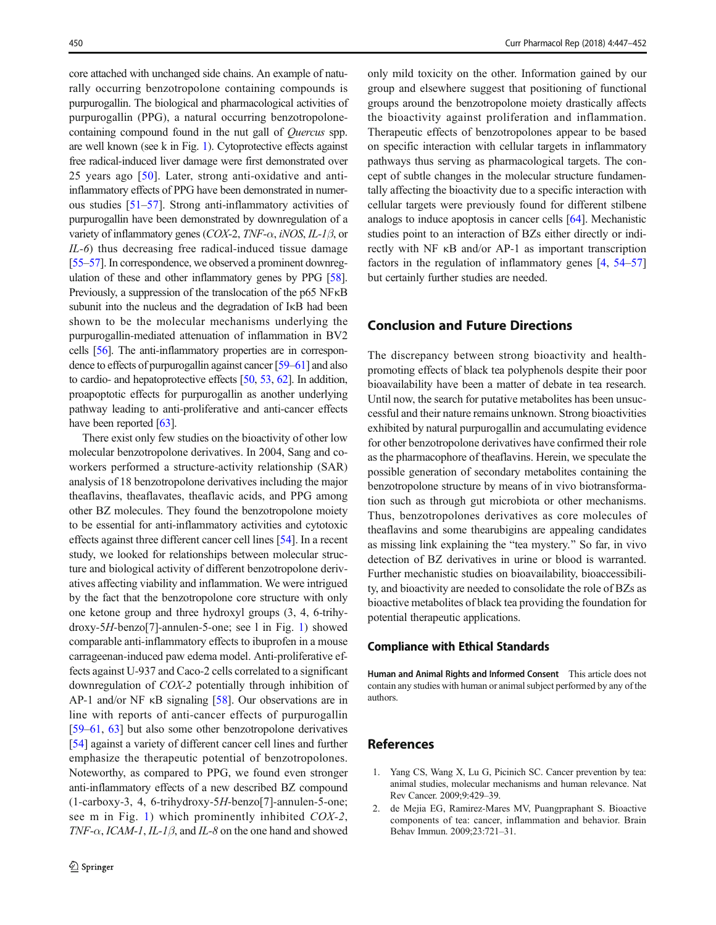core attached with unchanged side chains. An example of naturally occurring benzotropolone containing compounds is purpurogallin. The biological and pharmacological activities of purpurogallin (PPG), a natural occurring benzotropolonecontaining compound found in the nut gall of Quercus spp. are well known (see k in Fig. 1). Cytoprotective effects against free radical-induced liver damage were first demonstrated over 25 years ago [50]. Later, strong anti-oxidative and antiinflammatory effects of PPG have been demonstrated in numerous studies [51–57]. Strong anti-inflammatory activities of purpurogallin have been demonstrated by downregulation of a variety of inflammatory genes ( $COX-2$ , TNF- $\alpha$ , iNOS, IL-1 $\beta$ , or  $IL-6$ ) thus decreasing free radical-induced tissue damage [55–57]. In correspondence, we observed a prominent downregulation of these and other inflammatory genes by PPG [58]. Previously, a suppression of the translocation of the p65 NFκB subunit into the nucleus and the degradation of IKB had been shown to be the molecular mechanisms underlying the purpurogallin-mediated attenuation of inflammation in BV2 cells [56]. The anti-inflammatory properties are in correspondence to effects of purpurogallin against cancer [59–61] and also to cardio- and hepatoprotective effects [50, 53, 62]. In addition, proapoptotic effects for purpurogallin as another underlying pathway leading to anti-proliferative and anti-cancer effects have been reported [63].

There exist only few studies on the bioactivity of other low molecular benzotropolone derivatives. In 2004, Sang and coworkers performed a structure-activity relationship (SAR) analysis of 18 benzotropolone derivatives including the major theaflavins, theaflavates, theaflavic acids, and PPG among other BZ molecules. They found the benzotropolone moiety to be essential for anti-inflammatory activities and cytotoxic effects against three different cancer cell lines [54]. In a recent study, we looked for relationships between molecular structure and biological activity of different benzotropolone derivatives affecting viability and inflammation. We were intrigued by the fact that the benzotropolone core structure with only one ketone group and three hydroxyl groups (3, 4, 6-trihydroxy-5H-benzo[7]-annulen-5-one; see l in Fig. 1) showed comparable anti-inflammatory effects to ibuprofen in a mouse carrageenan-induced paw edema model. Anti-proliferative effects against U-937 and Caco-2 cells correlated to a significant downregulation of COX-2 potentially through inhibition of AP-1 and/or NF  $\kappa$ B signaling [58]. Our observations are in line with reports of anti-cancer effects of purpurogallin [59–61, 63] but also some other benzotropolone derivatives [54] against a variety of different cancer cell lines and further emphasize the therapeutic potential of benzotropolones. Noteworthy, as compared to PPG, we found even stronger anti-inflammatory effects of a new described BZ compound (1-carboxy-3, 4, 6-trihydroxy-5H-benzo[7]-annulen-5-one; see m in Fig. 1) which prominently inhibited COX-2, TNF- $\alpha$ , ICAM-1, IL-1 $\beta$ , and IL-8 on the one hand and showed

only mild toxicity on the other. Information gained by our group and elsewhere suggest that positioning of functional groups around the benzotropolone moiety drastically affects the bioactivity against proliferation and inflammation. Therapeutic effects of benzotropolones appear to be based on specific interaction with cellular targets in inflammatory pathways thus serving as pharmacological targets. The concept of subtle changes in the molecular structure fundamentally affecting the bioactivity due to a specific interaction with cellular targets were previously found for different stilbene analogs to induce apoptosis in cancer cells [64]. Mechanistic studies point to an interaction of BZs either directly or indirectly with NF κB and/or AP-1 as important transcription factors in the regulation of inflammatory genes [4, 54–57] but certainly further studies are needed.

### Conclusion and Future Directions

The discrepancy between strong bioactivity and healthpromoting effects of black tea polyphenols despite their poor bioavailability have been a matter of debate in tea research. Until now, the search for putative metabolites has been unsuccessful and their nature remains unknown. Strong bioactivities exhibited by natural purpurogallin and accumulating evidence for other benzotropolone derivatives have confirmed their role as the pharmacophore of theaflavins. Herein, we speculate the possible generation of secondary metabolites containing the benzotropolone structure by means of in vivo biotransformation such as through gut microbiota or other mechanisms. Thus, benzotropolones derivatives as core molecules of theaflavins and some thearubigins are appealing candidates as missing link explaining the "tea mystery." So far, in vivo detection of BZ derivatives in urine or blood is warranted. Further mechanistic studies on bioavailability, bioaccessibility, and bioactivity are needed to consolidate the role of BZs as bioactive metabolites of black tea providing the foundation for potential therapeutic applications.

#### Compliance with Ethical Standards

Human and Animal Rights and Informed Consent This article does not contain any studies with human or animal subject performed by any of the authors.

### References

- 1. Yang CS, Wang X, Lu G, Picinich SC. Cancer prevention by tea: animal studies, molecular mechanisms and human relevance. Nat Rev Cancer. 2009;9:429–39.
- 2. de Mejia EG, Ramirez-Mares MV, Puangpraphant S. Bioactive components of tea: cancer, inflammation and behavior. Brain Behav Immun. 2009;23:721–31.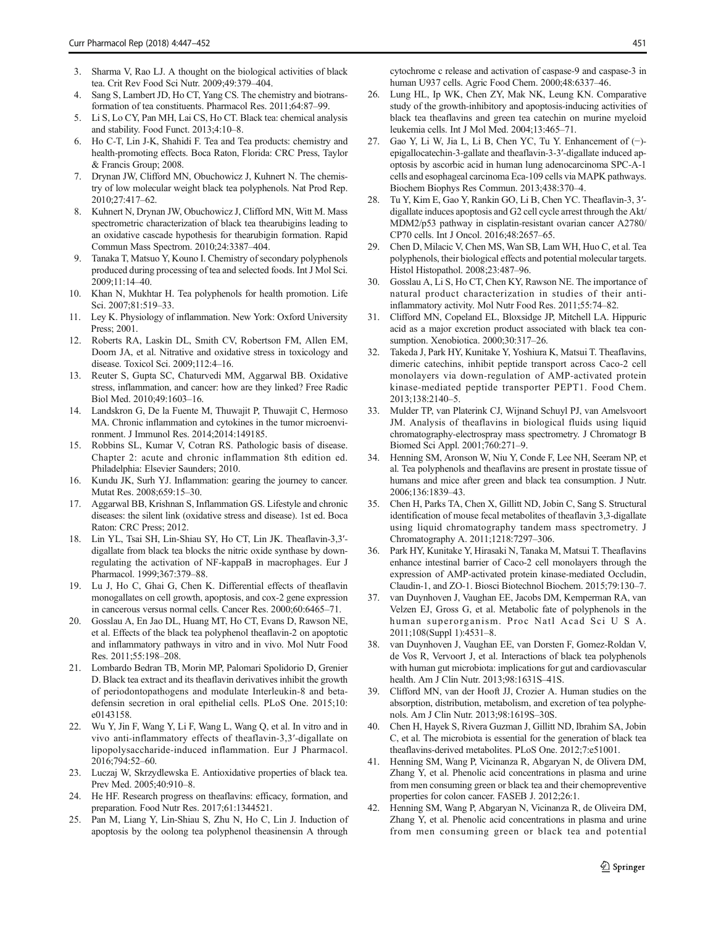- 3. Sharma V, Rao LJ. A thought on the biological activities of black tea. Crit Rev Food Sci Nutr. 2009;49:379–404.
- 4. Sang S, Lambert JD, Ho CT, Yang CS. The chemistry and biotransformation of tea constituents. Pharmacol Res. 2011;64:87–99.
- 5. Li S, Lo CY, Pan MH, Lai CS, Ho CT. Black tea: chemical analysis and stability. Food Funct. 2013;4:10–8.
- 6. Ho C-T, Lin J-K, Shahidi F. Tea and Tea products: chemistry and health-promoting effects. Boca Raton, Florida: CRC Press, Taylor & Francis Group; 2008.
- 7. Drynan JW, Clifford MN, Obuchowicz J, Kuhnert N. The chemistry of low molecular weight black tea polyphenols. Nat Prod Rep. 2010;27:417–62.
- 8. Kuhnert N, Drynan JW, Obuchowicz J, Clifford MN, Witt M. Mass spectrometric characterization of black tea thearubigins leading to an oxidative cascade hypothesis for thearubigin formation. Rapid Commun Mass Spectrom. 2010;24:3387–404.
- 9. Tanaka T, Matsuo Y, Kouno I. Chemistry of secondary polyphenols produced during processing of tea and selected foods. Int J Mol Sci. 2009;11:14–40.
- 10. Khan N, Mukhtar H. Tea polyphenols for health promotion. Life Sci. 2007;81:519–33.
- 11. Ley K. Physiology of inflammation. New York: Oxford University Press; 2001.
- 12. Roberts RA, Laskin DL, Smith CV, Robertson FM, Allen EM, Doorn JA, et al. Nitrative and oxidative stress in toxicology and disease. Toxicol Sci. 2009;112:4–16.
- 13. Reuter S, Gupta SC, Chaturvedi MM, Aggarwal BB. Oxidative stress, inflammation, and cancer: how are they linked? Free Radic Biol Med. 2010;49:1603–16.
- 14. Landskron G, De la Fuente M, Thuwajit P, Thuwajit C, Hermoso MA. Chronic inflammation and cytokines in the tumor microenvironment. J Immunol Res. 2014;2014:149185.
- 15. Robbins SL, Kumar V, Cotran RS. Pathologic basis of disease. Chapter 2: acute and chronic inflammation 8th edition ed. Philadelphia: Elsevier Saunders; 2010.
- 16. Kundu JK, Surh YJ. Inflammation: gearing the journey to cancer. Mutat Res. 2008;659:15–30.
- 17. Aggarwal BB, Krishnan S, Inflammation GS. Lifestyle and chronic diseases: the silent link (oxidative stress and disease). 1st ed. Boca Raton: CRC Press; 2012.
- 18. Lin YL, Tsai SH, Lin-Shiau SY, Ho CT, Lin JK. Theaflavin-3,3′ digallate from black tea blocks the nitric oxide synthase by downregulating the activation of NF-kappaB in macrophages. Eur J Pharmacol. 1999;367:379–88.
- 19. Lu J, Ho C, Ghai G, Chen K. Differential effects of theaflavin monogallates on cell growth, apoptosis, and cox-2 gene expression in cancerous versus normal cells. Cancer Res. 2000;60:6465–71.
- 20. Gosslau A, En Jao DL, Huang MT, Ho CT, Evans D, Rawson NE, et al. Effects of the black tea polyphenol theaflavin-2 on apoptotic and inflammatory pathways in vitro and in vivo. Mol Nutr Food Res. 2011;55:198–208.
- 21. Lombardo Bedran TB, Morin MP, Palomari Spolidorio D, Grenier D. Black tea extract and its theaflavin derivatives inhibit the growth of periodontopathogens and modulate Interleukin-8 and betadefensin secretion in oral epithelial cells. PLoS One. 2015;10: e0143158.
- 22. Wu Y, Jin F, Wang Y, Li F, Wang L, Wang Q, et al. In vitro and in vivo anti-inflammatory effects of theaflavin-3,3′-digallate on lipopolysaccharide-induced inflammation. Eur J Pharmacol. 2016;794:52–60.
- 23. Luczaj W, Skrzydlewska E. Antioxidative properties of black tea. Prev Med. 2005;40:910–8.
- 24. He HF. Research progress on theaflavins: efficacy, formation, and preparation. Food Nutr Res. 2017;61:1344521.
- 25. Pan M, Liang Y, Lin-Shiau S, Zhu N, Ho C, Lin J. Induction of apoptosis by the oolong tea polyphenol theasinensin A through
- 26. Lung HL, Ip WK, Chen ZY, Mak NK, Leung KN. Comparative study of the growth-inhibitory and apoptosis-inducing activities of black tea theaflavins and green tea catechin on murine myeloid leukemia cells. Int J Mol Med. 2004;13:465–71.
- 27. Gao Y, Li W, Jia L, Li B, Chen YC, Tu Y. Enhancement of (−) epigallocatechin-3-gallate and theaflavin-3-3′-digallate induced apoptosis by ascorbic acid in human lung adenocarcinoma SPC-A-1 cells and esophageal carcinoma Eca-109 cells via MAPK pathways. Biochem Biophys Res Commun. 2013;438:370–4.
- 28. Tu Y, Kim E, Gao Y, Rankin GO, Li B, Chen YC. Theaflavin-3, 3′ digallate induces apoptosis and G2 cell cycle arrest through the Akt/ MDM2/p53 pathway in cisplatin-resistant ovarian cancer A2780/ CP70 cells. Int J Oncol. 2016;48:2657–65.
- 29. Chen D, Milacic V, Chen MS, Wan SB, Lam WH, Huo C, et al. Tea polyphenols, their biological effects and potential molecular targets. Histol Histopathol. 2008;23:487–96.
- 30. Gosslau A, Li S, Ho CT, Chen KY, Rawson NE. The importance of natural product characterization in studies of their antiinflammatory activity. Mol Nutr Food Res. 2011;55:74–82.
- 31. Clifford MN, Copeland EL, Bloxsidge JP, Mitchell LA. Hippuric acid as a major excretion product associated with black tea consumption. Xenobiotica. 2000;30:317–26.
- 32. Takeda J, Park HY, Kunitake Y, Yoshiura K, Matsui T. Theaflavins, dimeric catechins, inhibit peptide transport across Caco-2 cell monolayers via down-regulation of AMP-activated protein kinase-mediated peptide transporter PEPT1. Food Chem. 2013;138:2140–5.
- 33. Mulder TP, van Platerink CJ, Wijnand Schuyl PJ, van Amelsvoort JM. Analysis of theaflavins in biological fluids using liquid chromatography-electrospray mass spectrometry. J Chromatogr B Biomed Sci Appl. 2001;760:271–9.
- 34. Henning SM, Aronson W, Niu Y, Conde F, Lee NH, Seeram NP, et al. Tea polyphenols and theaflavins are present in prostate tissue of humans and mice after green and black tea consumption. J Nutr. 2006;136:1839–43.
- 35. Chen H, Parks TA, Chen X, Gillitt ND, Jobin C, Sang S. Structural identification of mouse fecal metabolites of theaflavin 3,3-digallate using liquid chromatography tandem mass spectrometry. J Chromatography A. 2011;1218:7297–306.
- 36. Park HY, Kunitake Y, Hirasaki N, Tanaka M, Matsui T. Theaflavins enhance intestinal barrier of Caco-2 cell monolayers through the expression of AMP-activated protein kinase-mediated Occludin, Claudin-1, and ZO-1. Biosci Biotechnol Biochem. 2015;79:130–7.
- 37. van Duynhoven J, Vaughan EE, Jacobs DM, Kemperman RA, van Velzen EJ, Gross G, et al. Metabolic fate of polyphenols in the human superorganism. Proc Natl Acad Sci U S A. 2011;108(Suppl 1):4531–8.
- 38. van Duynhoven J, Vaughan EE, van Dorsten F, Gomez-Roldan V, de Vos R, Vervoort J, et al. Interactions of black tea polyphenols with human gut microbiota: implications for gut and cardiovascular health. Am J Clin Nutr. 2013;98:1631S–41S.
- 39. Clifford MN, van der Hooft JJ, Crozier A. Human studies on the absorption, distribution, metabolism, and excretion of tea polyphenols. Am J Clin Nutr. 2013;98:1619S–30S.
- 40. Chen H, Hayek S, Rivera Guzman J, Gillitt ND, Ibrahim SA, Jobin C, et al. The microbiota is essential for the generation of black tea theaflavins-derived metabolites. PLoS One. 2012;7:e51001.
- 41. Henning SM, Wang P, Vicinanza R, Abgaryan N, de Olivera DM, Zhang Y, et al. Phenolic acid concentrations in plasma and urine from men consuming green or black tea and their chemopreventive properties for colon cancer. FASEB J. 2012;26:1.
- 42. Henning SM, Wang P, Abgaryan N, Vicinanza R, de Oliveira DM, Zhang Y, et al. Phenolic acid concentrations in plasma and urine from men consuming green or black tea and potential